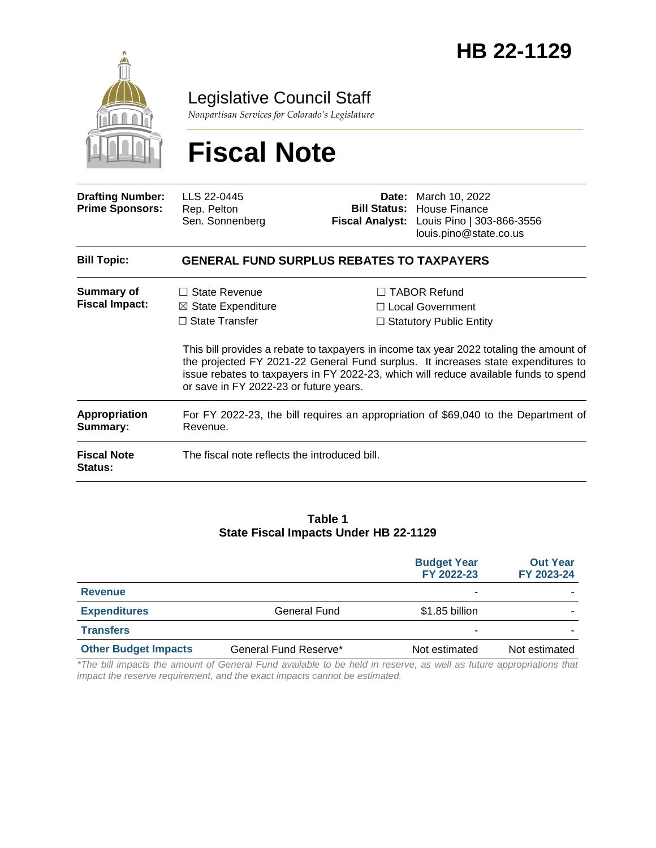

Legislative Council Staff

*Nonpartisan Services for Colorado's Legislature*

# **Fiscal Note**

| <b>Drafting Number:</b><br><b>Prime Sponsors:</b> | LLS 22-0445<br>Rep. Pelton<br>Sen. Sonnenberg                                                                            | Fiscal Analyst: | <b>Date:</b> March 10, 2022<br><b>Bill Status: House Finance</b><br>Louis Pino   303-866-3556<br>louis.pino@state.co.us                                                                                                                                                                                                                             |  |  |  |  |
|---------------------------------------------------|--------------------------------------------------------------------------------------------------------------------------|-----------------|-----------------------------------------------------------------------------------------------------------------------------------------------------------------------------------------------------------------------------------------------------------------------------------------------------------------------------------------------------|--|--|--|--|
| <b>Bill Topic:</b>                                | <b>GENERAL FUND SURPLUS REBATES TO TAXPAYERS</b>                                                                         |                 |                                                                                                                                                                                                                                                                                                                                                     |  |  |  |  |
| <b>Summary of</b><br><b>Fiscal Impact:</b>        | $\Box$ State Revenue<br>$\boxtimes$ State Expenditure<br>$\Box$ State Transfer<br>or save in FY 2022-23 or future years. |                 | $\Box$ TABOR Refund<br>□ Local Government<br>$\Box$ Statutory Public Entity<br>This bill provides a rebate to taxpayers in income tax year 2022 totaling the amount of<br>the projected FY 2021-22 General Fund surplus. It increases state expenditures to<br>issue rebates to taxpayers in FY 2022-23, which will reduce available funds to spend |  |  |  |  |
| <b>Appropriation</b><br>Summary:                  | For FY 2022-23, the bill requires an appropriation of \$69,040 to the Department of<br>Revenue.                          |                 |                                                                                                                                                                                                                                                                                                                                                     |  |  |  |  |
| <b>Fiscal Note</b><br><b>Status:</b>              | The fiscal note reflects the introduced bill.                                                                            |                 |                                                                                                                                                                                                                                                                                                                                                     |  |  |  |  |

#### **Table 1 State Fiscal Impacts Under HB 22-1129**

|                             |                       | <b>Budget Year</b><br>FY 2022-23 | <b>Out Year</b><br>FY 2023-24 |
|-----------------------------|-----------------------|----------------------------------|-------------------------------|
| <b>Revenue</b>              |                       | ۰                                |                               |
| <b>Expenditures</b>         | <b>General Fund</b>   | \$1.85 billion                   |                               |
| <b>Transfers</b>            |                       | ۰                                |                               |
| <b>Other Budget Impacts</b> | General Fund Reserve* | Not estimated                    | Not estimated                 |

*\*The bill impacts the amount of General Fund available to be held in reserve, as well as future appropriations that impact the reserve requirement, and the exact impacts cannot be estimated.*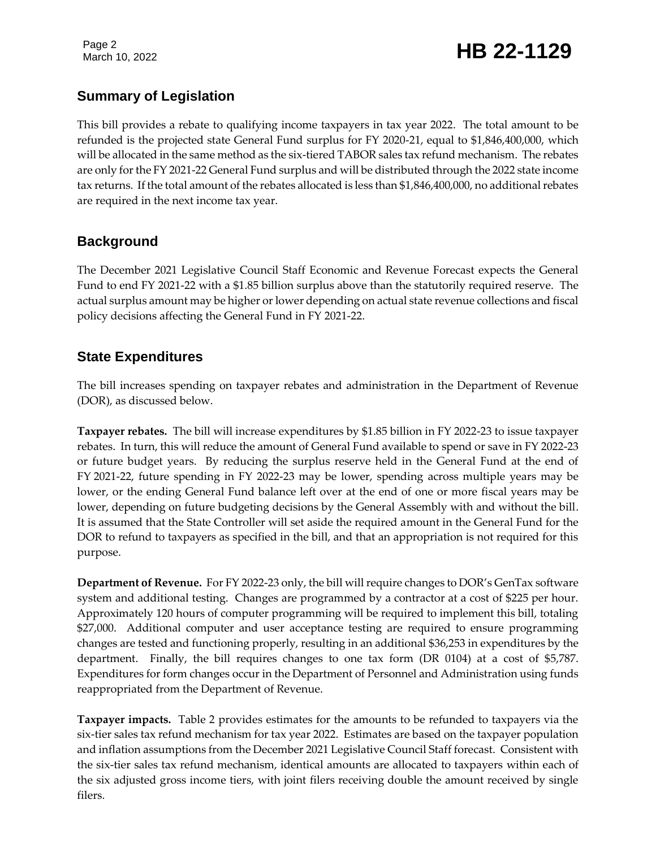Page 2

# Page 2<br>March 10, 2022 **HB 22-1129**

# **Summary of Legislation**

This bill provides a rebate to qualifying income taxpayers in tax year 2022. The total amount to be refunded is the projected state General Fund surplus for FY 2020-21, equal to \$1,846,400,000, which will be allocated in the same method as the six-tiered TABOR sales tax refund mechanism. The rebates are only for the FY 2021-22 General Fund surplus and will be distributed through the 2022 state income tax returns. If the total amount of the rebates allocated is less than \$1,846,400,000, no additional rebates are required in the next income tax year.

# **Background**

The December 2021 Legislative Council Staff Economic and Revenue Forecast expects the General Fund to end FY 2021-22 with a \$1.85 billion surplus above than the statutorily required reserve. The actual surplus amount may be higher or lower depending on actual state revenue collections and fiscal policy decisions affecting the General Fund in FY 2021-22.

# **State Expenditures**

The bill increases spending on taxpayer rebates and administration in the Department of Revenue (DOR), as discussed below.

**Taxpayer rebates.** The bill will increase expenditures by \$1.85 billion in FY 2022-23 to issue taxpayer rebates. In turn, this will reduce the amount of General Fund available to spend or save in FY 2022-23 or future budget years. By reducing the surplus reserve held in the General Fund at the end of FY 2021-22, future spending in FY 2022-23 may be lower, spending across multiple years may be lower, or the ending General Fund balance left over at the end of one or more fiscal years may be lower, depending on future budgeting decisions by the General Assembly with and without the bill. It is assumed that the State Controller will set aside the required amount in the General Fund for the DOR to refund to taxpayers as specified in the bill, and that an appropriation is not required for this purpose.

**Department of Revenue.** For FY 2022-23 only, the bill will require changes to DOR's GenTax software system and additional testing. Changes are programmed by a contractor at a cost of \$225 per hour. Approximately 120 hours of computer programming will be required to implement this bill, totaling \$27,000. Additional computer and user acceptance testing are required to ensure programming changes are tested and functioning properly, resulting in an additional \$36,253 in expenditures by the department. Finally, the bill requires changes to one tax form (DR 0104) at a cost of \$5,787. Expenditures for form changes occur in the Department of Personnel and Administration using funds reappropriated from the Department of Revenue.

**Taxpayer impacts.** Table 2 provides estimates for the amounts to be refunded to taxpayers via the six-tier sales tax refund mechanism for tax year 2022. Estimates are based on the taxpayer population and inflation assumptions from the December 2021 Legislative Council Staff forecast. Consistent with the six-tier sales tax refund mechanism, identical amounts are allocated to taxpayers within each of the six adjusted gross income tiers, with joint filers receiving double the amount received by single filers.